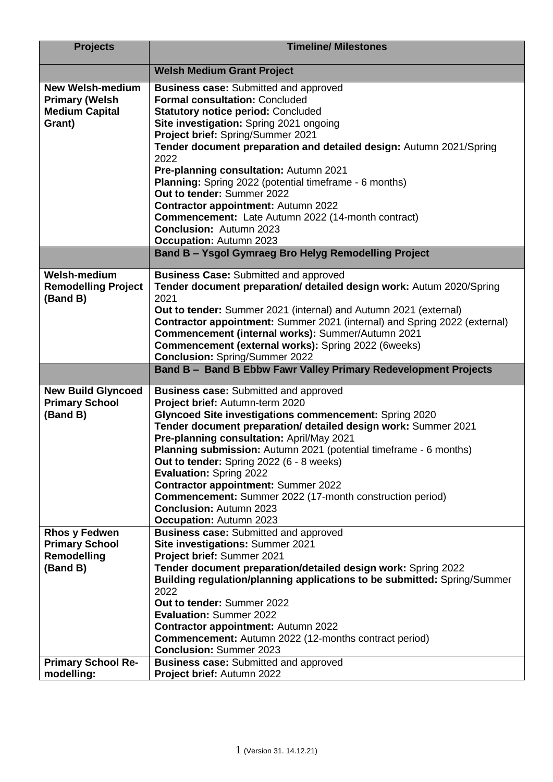| <b>Projects</b>                                                                                       | <b>Timeline/ Milestones</b>                                                                                                                                                                                                                                                                                                                                                                                                                                                                                                                                                                                               |
|-------------------------------------------------------------------------------------------------------|---------------------------------------------------------------------------------------------------------------------------------------------------------------------------------------------------------------------------------------------------------------------------------------------------------------------------------------------------------------------------------------------------------------------------------------------------------------------------------------------------------------------------------------------------------------------------------------------------------------------------|
|                                                                                                       | <b>Welsh Medium Grant Project</b>                                                                                                                                                                                                                                                                                                                                                                                                                                                                                                                                                                                         |
| <b>New Welsh-medium</b><br><b>Primary (Welsh</b><br><b>Medium Capital</b><br>Grant)                   | <b>Business case:</b> Submitted and approved<br><b>Formal consultation: Concluded</b><br><b>Statutory notice period: Concluded</b><br>Site investigation: Spring 2021 ongoing<br>Project brief: Spring/Summer 2021<br>Tender document preparation and detailed design: Autumn 2021/Spring<br>2022<br>Pre-planning consultation: Autumn 2021<br><b>Planning:</b> Spring 2022 (potential timeframe - 6 months)<br>Out to tender: Summer 2022<br><b>Contractor appointment: Autumn 2022</b><br><b>Commencement:</b> Late Autumn 2022 (14-month contract)<br><b>Conclusion: Autumn 2023</b><br><b>Occupation: Autumn 2023</b> |
|                                                                                                       | <b>Band B - Ysgol Gymraeg Bro Helyg Remodelling Project</b>                                                                                                                                                                                                                                                                                                                                                                                                                                                                                                                                                               |
| Welsh-medium<br><b>Remodelling Project</b><br>(Band B)                                                | <b>Business Case: Submitted and approved</b><br>Tender document preparation/ detailed design work: Autum 2020/Spring<br>2021<br>Out to tender: Summer 2021 (internal) and Autumn 2021 (external)<br>Contractor appointment: Summer 2021 (internal) and Spring 2022 (external)<br>Commencement (internal works): Summer/Autumn 2021<br>Commencement (external works): Spring 2022 (6weeks)<br><b>Conclusion: Spring/Summer 2022</b>                                                                                                                                                                                        |
|                                                                                                       | Band B - Band B Ebbw Fawr Valley Primary Redevelopment Projects                                                                                                                                                                                                                                                                                                                                                                                                                                                                                                                                                           |
|                                                                                                       |                                                                                                                                                                                                                                                                                                                                                                                                                                                                                                                                                                                                                           |
| <b>New Build Glyncoed</b><br><b>Primary School</b><br>(Band B)                                        | <b>Business case:</b> Submitted and approved<br>Project brief: Autumn-term 2020<br>Glyncoed Site investigations commencement: Spring 2020<br>Tender document preparation/ detailed design work: Summer 2021<br>Pre-planning consultation: April/May 2021<br>Planning submission: Autumn 2021 (potential timeframe - 6 months)<br>Out to tender: Spring 2022 (6 - 8 weeks)<br><b>Evaluation: Spring 2022</b><br><b>Contractor appointment: Summer 2022</b><br><b>Commencement:</b> Summer 2022 (17-month construction period)<br><b>Conclusion: Autumn 2023</b>                                                            |
| <b>Rhos y Fedwen</b><br><b>Primary School</b><br>Remodelling<br>(Band B)<br><b>Primary School Re-</b> | Occupation: Autumn 2023<br><b>Business case:</b> Submitted and approved<br>Site investigations: Summer 2021<br>Project brief: Summer 2021<br>Tender document preparation/detailed design work: Spring 2022<br>Building regulation/planning applications to be submitted: Spring/Summer<br>2022<br>Out to tender: Summer 2022<br><b>Evaluation: Summer 2022</b><br><b>Contractor appointment: Autumn 2022</b><br><b>Commencement:</b> Autumn 2022 (12-months contract period)<br><b>Conclusion: Summer 2023</b><br><b>Business case:</b> Submitted and approved                                                            |